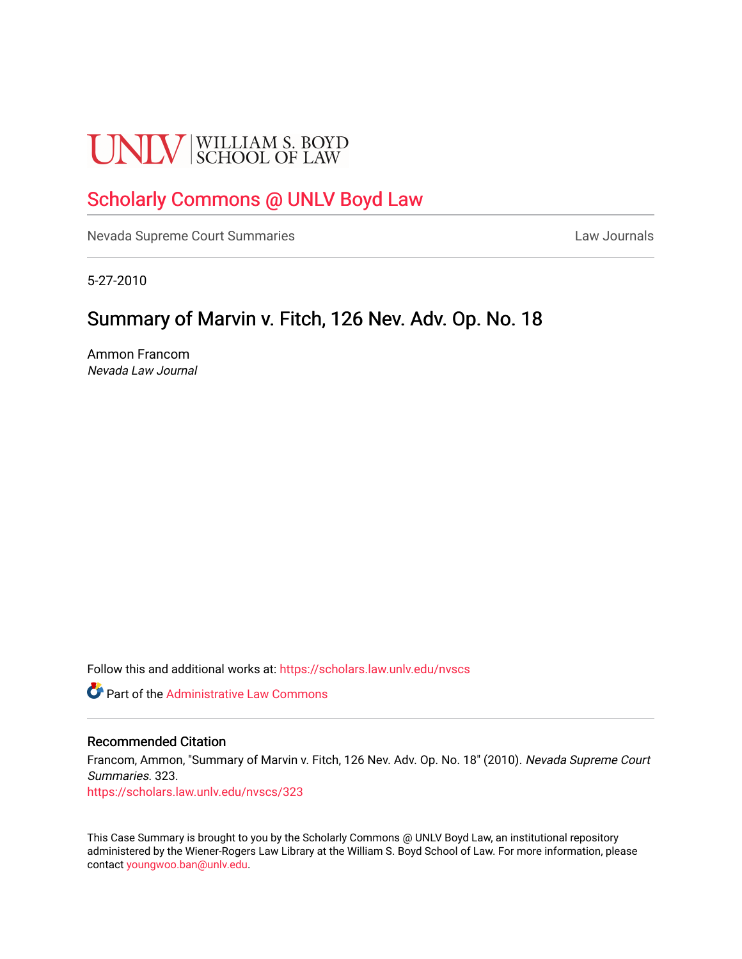# **UNLV** SCHOOL OF LAW

# [Scholarly Commons @ UNLV Boyd Law](https://scholars.law.unlv.edu/)

[Nevada Supreme Court Summaries](https://scholars.law.unlv.edu/nvscs) **Law Journals** Law Journals

5-27-2010

## Summary of Marvin v. Fitch, 126 Nev. Adv. Op. No. 18

Ammon Francom Nevada Law Journal

Follow this and additional works at: [https://scholars.law.unlv.edu/nvscs](https://scholars.law.unlv.edu/nvscs?utm_source=scholars.law.unlv.edu%2Fnvscs%2F323&utm_medium=PDF&utm_campaign=PDFCoverPages)

**C** Part of the Administrative Law Commons

## Recommended Citation

Francom, Ammon, "Summary of Marvin v. Fitch, 126 Nev. Adv. Op. No. 18" (2010). Nevada Supreme Court Summaries. 323.

[https://scholars.law.unlv.edu/nvscs/323](https://scholars.law.unlv.edu/nvscs/323?utm_source=scholars.law.unlv.edu%2Fnvscs%2F323&utm_medium=PDF&utm_campaign=PDFCoverPages)

This Case Summary is brought to you by the Scholarly Commons @ UNLV Boyd Law, an institutional repository administered by the Wiener-Rogers Law Library at the William S. Boyd School of Law. For more information, please contact [youngwoo.ban@unlv.edu](mailto:youngwoo.ban@unlv.edu).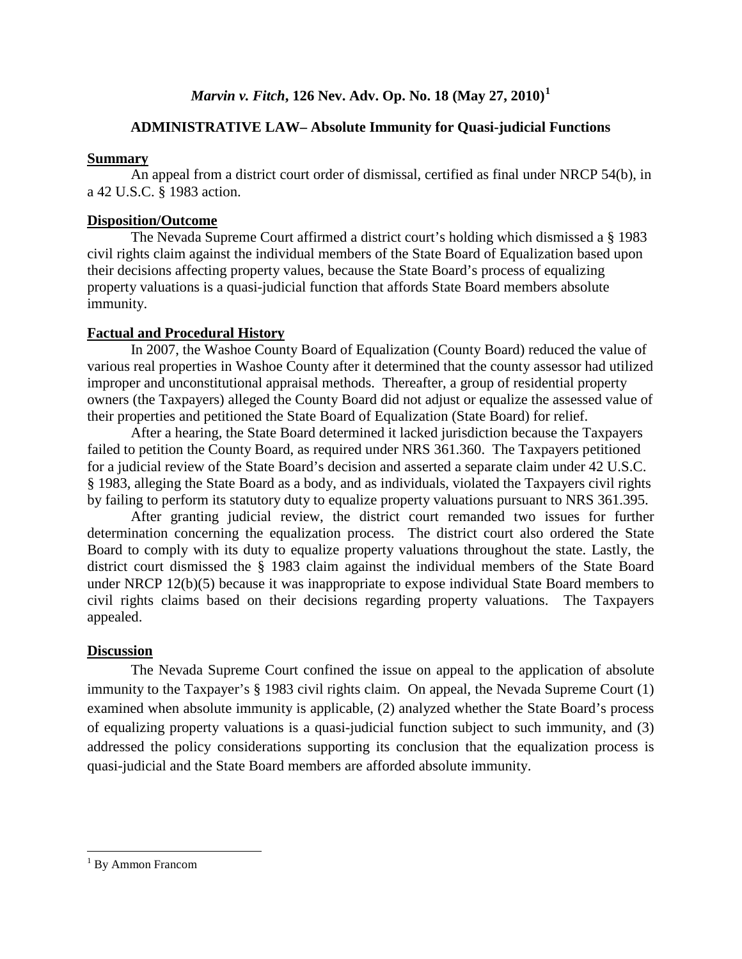## *Marvin v. Fitch***, 126 Nev. Adv. Op. No. 18 (May 27, 2010) [1](#page-1-0)**

## **ADMINISTRATIVE LAW– Absolute Immunity for Quasi-judicial Functions**

## **Summary**

An appeal from a district court order of dismissal, certified as final under NRCP 54(b), in a 42 U.S.C. § 1983 action.

## **Disposition/Outcome**

The Nevada Supreme Court affirmed a district court's holding which dismissed a § 1983 civil rights claim against the individual members of the State Board of Equalization based upon their decisions affecting property values, because the State Board's process of equalizing property valuations is a quasi-judicial function that affords State Board members absolute immunity.

## **Factual and Procedural History**

In 2007, the Washoe County Board of Equalization (County Board) reduced the value of various real properties in Washoe County after it determined that the county assessor had utilized improper and unconstitutional appraisal methods. Thereafter, a group of residential property owners (the Taxpayers) alleged the County Board did not adjust or equalize the assessed value of their properties and petitioned the State Board of Equalization (State Board) for relief.

After a hearing, the State Board determined it lacked jurisdiction because the Taxpayers failed to petition the County Board, as required under NRS 361.360. The Taxpayers petitioned for a judicial review of the State Board's decision and asserted a separate claim under 42 U.S.C. § 1983, alleging the State Board as a body, and as individuals, violated the Taxpayers civil rights by failing to perform its statutory duty to equalize property valuations pursuant to NRS 361.395.

After granting judicial review, the district court remanded two issues for further determination concerning the equalization process. The district court also ordered the State Board to comply with its duty to equalize property valuations throughout the state. Lastly, the district court dismissed the § 1983 claim against the individual members of the State Board under NRCP 12(b)(5) because it was inappropriate to expose individual State Board members to civil rights claims based on their decisions regarding property valuations. The Taxpayers appealed.

## **Discussion**

The Nevada Supreme Court confined the issue on appeal to the application of absolute immunity to the Taxpayer's § 1983 civil rights claim. On appeal, the Nevada Supreme Court (1) examined when absolute immunity is applicable, (2) analyzed whether the State Board's process of equalizing property valuations is a quasi-judicial function subject to such immunity, and (3) addressed the policy considerations supporting its conclusion that the equalization process is quasi-judicial and the State Board members are afforded absolute immunity.

<span id="page-1-0"></span><sup>&</sup>lt;sup>1</sup> By Ammon Francom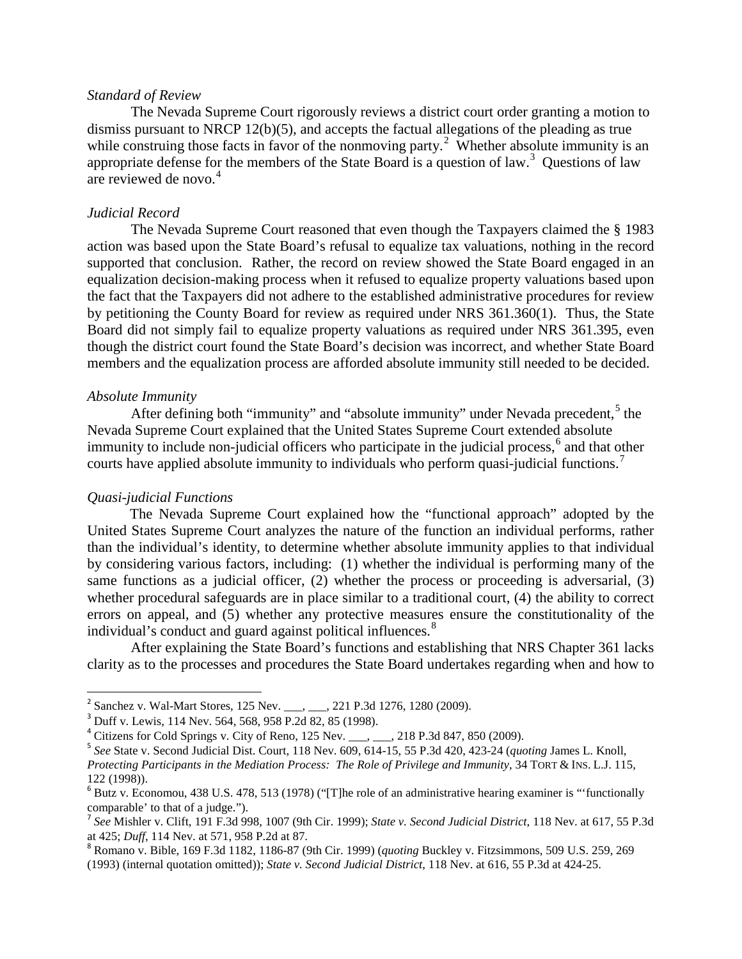## *Standard of Review*

The Nevada Supreme Court rigorously reviews a district court order granting a motion to dismiss pursuant to NRCP 12(b)(5), and accepts the factual allegations of the pleading as true while construing those facts in favor of the nonmoving party.<sup>[2](#page-2-0)</sup> Whether absolute immunity is an appropriate defense for the members of the State Board is a question of law.<sup>[3](#page-2-1)</sup> Questions of law are reviewed de novo.<sup>[4](#page-2-2)</sup>

## *Judicial Record*

The Nevada Supreme Court reasoned that even though the Taxpayers claimed the § 1983 action was based upon the State Board's refusal to equalize tax valuations, nothing in the record supported that conclusion. Rather, the record on review showed the State Board engaged in an equalization decision-making process when it refused to equalize property valuations based upon the fact that the Taxpayers did not adhere to the established administrative procedures for review by petitioning the County Board for review as required under NRS 361.360(1). Thus, the State Board did not simply fail to equalize property valuations as required under NRS 361.395, even though the district court found the State Board's decision was incorrect, and whether State Board members and the equalization process are afforded absolute immunity still needed to be decided.

## *Absolute Immunity*

After defining both "immunity" and "absolute immunity" under Nevada precedent,  $5$  the Nevada Supreme Court explained that the United States Supreme Court extended absolute immunity to include non-judicial officers who participate in the judicial process, $6$  and that other courts have applied absolute immunity to individuals who perform quasi-judicial functions.<sup>[7](#page-2-5)</sup>

### *Quasi-judicial Functions*

 The Nevada Supreme Court explained how the "functional approach" adopted by the United States Supreme Court analyzes the nature of the function an individual performs, rather than the individual's identity, to determine whether absolute immunity applies to that individual by considering various factors, including: (1) whether the individual is performing many of the same functions as a judicial officer, (2) whether the process or proceeding is adversarial, (3) whether procedural safeguards are in place similar to a traditional court, (4) the ability to correct errors on appeal, and (5) whether any protective measures ensure the constitutionality of the individual's conduct and guard against political influences.<sup>[8](#page-2-6)</sup>

After explaining the State Board's functions and establishing that NRS Chapter 361 lacks clarity as to the processes and procedures the State Board undertakes regarding when and how to

<span id="page-2-1"></span><span id="page-2-0"></span><sup>&</sup>lt;sup>2</sup> Sanchez v. Wal-Mart Stores, 125 Nev. \_\_\_, \_\_\_, 221 P.3d 1276, 1280 (2009).<br><sup>3</sup> Duff v. Lewis, 114 Nev. 564, 568, 958 P.2d 82, 85 (1998).<br><sup>4</sup> Citizens for Cold Springs v. City of Reno, 125 Nev. \_\_\_, \_\_\_, 218 P.3d 847,

<span id="page-2-3"></span><span id="page-2-2"></span><sup>5</sup> *See* State v. Second Judicial Dist. Court, 118 Nev. 609, 614-15, 55 P.3d 420, 423-24 (*quoting* James L. Knoll,

*Protecting Participants in the Mediation Process: The Role of Privilege and Immunity*, 34 TORT & INS. L.J. 115, 122 (1998)).

<span id="page-2-4"></span> $6$  Butz v. Economou, 438 U.S. 478, 513 (1978) ("The role of an administrative hearing examiner is "functionally

<span id="page-2-5"></span>comparable' to that of a judge.").<br><sup>7</sup> *See* Mishler v. Clift, 191 F.3d 998, 1007 (9th Cir. 1999); *State v. Second Judicial District*, 118 Nev. at 617, 55 P.3d at 425; *Duff*, 114 Nev. at 571, 958 P.2d at 87.

<span id="page-2-6"></span><sup>&</sup>lt;sup>8</sup> Romano v. Bible, 169 F.3d 1182, 1186-87 (9th Cir. 1999) (*quoting* Buckley v. Fitzsimmons, 509 U.S. 259, 269 (1993) (internal quotation omitted)); *State v. Second Judicial District*, 118 Nev. at 616, 55 P.3d at 424-25.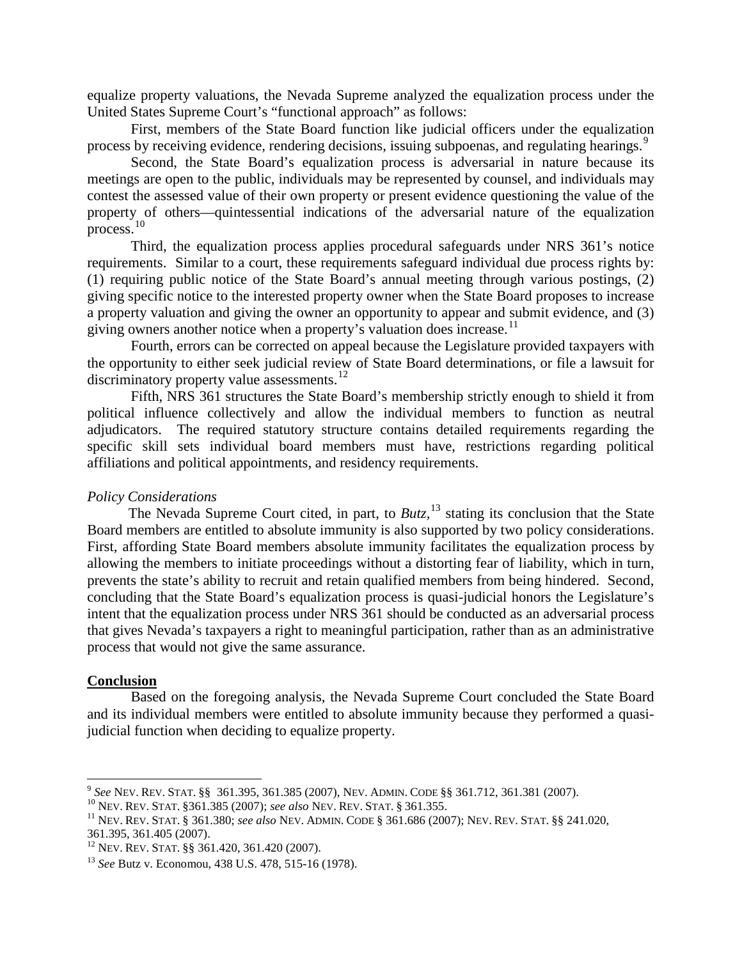equalize property valuations, the Nevada Supreme analyzed the equalization process under the United States Supreme Court's "functional approach" as follows:

First, members of the State Board function like judicial officers under the equalization process by receiving evidence, rendering decisions, issuing subpoenas, and regulating hearings.<sup>[9](#page-3-0)</sup>

Second, the State Board's equalization process is adversarial in nature because its meetings are open to the public, individuals may be represented by counsel, and individuals may contest the assessed value of their own property or present evidence questioning the value of the property of others—quintessential indications of the adversarial nature of the equalization process.<sup>[10](#page-3-1)</sup>

Third, the equalization process applies procedural safeguards under NRS 361's notice requirements. Similar to a court, these requirements safeguard individual due process rights by: (1) requiring public notice of the State Board's annual meeting through various postings, (2) giving specific notice to the interested property owner when the State Board proposes to increase a property valuation and giving the owner an opportunity to appear and submit evidence, and (3) giving owners another notice when a property's valuation does increase.<sup>[11](#page-3-2)</sup>

Fourth, errors can be corrected on appeal because the Legislature provided taxpayers with the opportunity to either seek judicial review of State Board determinations, or file a lawsuit for discriminatory property value assessments.<sup>[12](#page-3-3)</sup>

Fifth, NRS 361 structures the State Board's membership strictly enough to shield it from political influence collectively and allow the individual members to function as neutral adjudicators. The required statutory structure contains detailed requirements regarding the specific skill sets individual board members must have, restrictions regarding political affiliations and political appointments, and residency requirements.

## *Policy Considerations*

The Nevada Supreme Court cited, in part, to *Butz*, <sup>[13](#page-3-4)</sup> stating its conclusion that the State Board members are entitled to absolute immunity is also supported by two policy considerations. First, affording State Board members absolute immunity facilitates the equalization process by allowing the members to initiate proceedings without a distorting fear of liability, which in turn, prevents the state's ability to recruit and retain qualified members from being hindered. Second, concluding that the State Board's equalization process is quasi-judicial honors the Legislature's intent that the equalization process under NRS 361 should be conducted as an adversarial process that gives Nevada's taxpayers a right to meaningful participation, rather than as an administrative process that would not give the same assurance.

## **Conclusion**

Based on the foregoing analysis, the Nevada Supreme Court concluded the State Board and its individual members were entitled to absolute immunity because they performed a quasijudicial function when deciding to equalize property.

<span id="page-3-2"></span><span id="page-3-1"></span>

<span id="page-3-0"></span><sup>&</sup>lt;sup>9</sup> See Nev. Rev. Stat. §§ 361.395, 361.385 (2007), Nev. ADMIN. CODE §§ 361.712, 361.381 (2007).<br><sup>10</sup> Nev. Rev. Stat. §361.385 (2007); *see also* Nev. Rev. Stat. § 361.355.<br><sup>11</sup> Nev. Rev. Stat. § 361.380; *see also* Nev.

<span id="page-3-3"></span> $\frac{12}{12}$  Nev. Rev. Stat. §§ 361.420, 361.420 (2007).

<span id="page-3-4"></span><sup>13</sup> *See* Butz v. Economou, 438 U.S. 478, 515-16 (1978).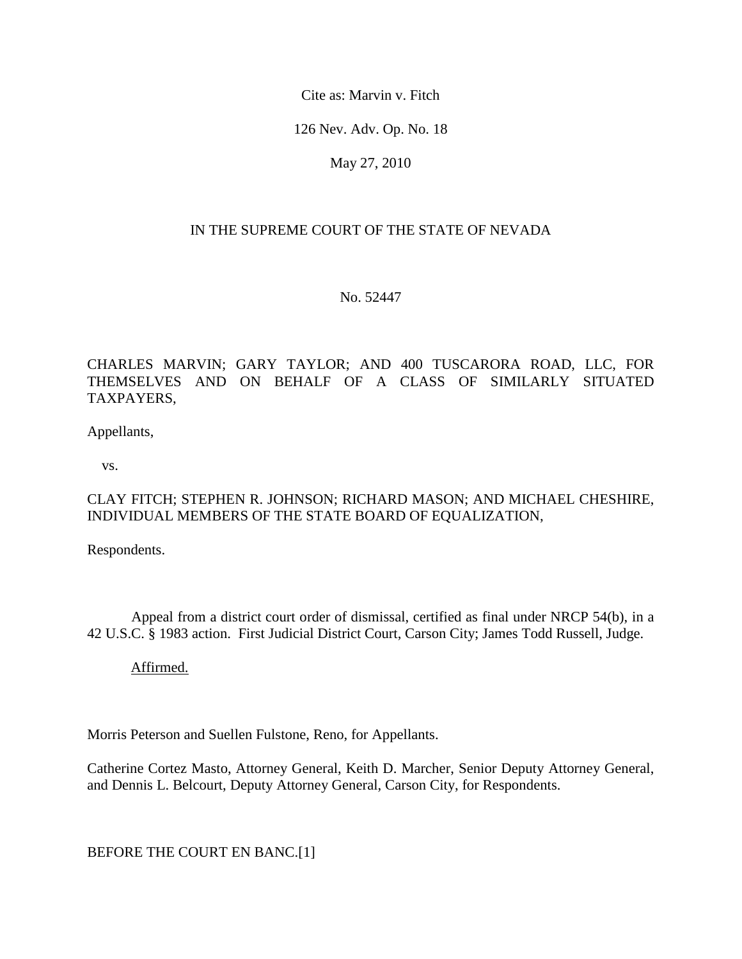Cite as: Marvin v. Fitch

126 Nev. Adv. Op. No. 18

May 27, 2010

## IN THE SUPREME COURT OF THE STATE OF NEVADA

No. 52447

CHARLES MARVIN; GARY TAYLOR; AND 400 TUSCARORA ROAD, LLC, FOR THEMSELVES AND ON BEHALF OF A CLASS OF SIMILARLY SITUATED TAXPAYERS,

Appellants,

vs.

## CLAY FITCH; STEPHEN R. JOHNSON; RICHARD MASON; AND MICHAEL CHESHIRE, INDIVIDUAL MEMBERS OF THE STATE BOARD OF EQUALIZATION,

Respondents.

 Appeal from a district court order of dismissal, certified as final under NRCP 54(b), in a 42 U.S.C. § 1983 action. First Judicial District Court, Carson City; James Todd Russell, Judge.

Affirmed.

Morris Peterson and Suellen Fulstone, Reno, for Appellants.

Catherine Cortez Masto, Attorney General, Keith D. Marcher, Senior Deputy Attorney General, and Dennis L. Belcourt, Deputy Attorney General, Carson City, for Respondents.

BEFORE THE COURT EN BANC.[1]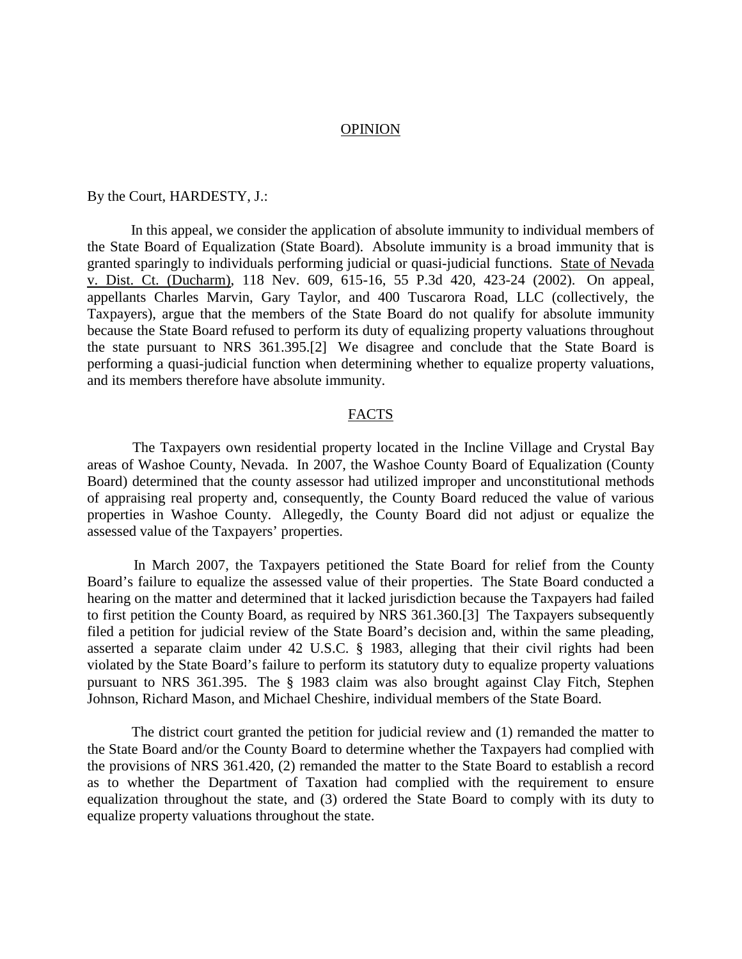#### OPINION

By the Court, HARDESTY, J.:

 In this appeal, we consider the application of absolute immunity to individual members of the State Board of Equalization (State Board). Absolute immunity is a broad immunity that is granted sparingly to individuals performing judicial or quasi-judicial functions. State of Nevada v. Dist. Ct. (Ducharm), 118 Nev. 609, 615-16, 55 P.3d 420, 423-24 (2002). On appeal, appellants Charles Marvin, Gary Taylor, and 400 Tuscarora Road, LLC (collectively, the Taxpayers), argue that the members of the State Board do not qualify for absolute immunity because the State Board refused to perform its duty of equalizing property valuations throughout the state pursuant to NRS 361.395.[2] We disagree and conclude that the State Board is performing a quasi-judicial function when determining whether to equalize property valuations, and its members therefore have absolute immunity.

#### FACTS

 The Taxpayers own residential property located in the Incline Village and Crystal Bay areas of Washoe County, Nevada. In 2007, the Washoe County Board of Equalization (County Board) determined that the county assessor had utilized improper and unconstitutional methods of appraising real property and, consequently, the County Board reduced the value of various properties in Washoe County. Allegedly, the County Board did not adjust or equalize the assessed value of the Taxpayers' properties.

 In March 2007, the Taxpayers petitioned the State Board for relief from the County Board's failure to equalize the assessed value of their properties. The State Board conducted a hearing on the matter and determined that it lacked jurisdiction because the Taxpayers had failed to first petition the County Board, as required by NRS 361.360.[3] The Taxpayers subsequently filed a petition for judicial review of the State Board's decision and, within the same pleading, asserted a separate claim under 42 U.S.C. § 1983, alleging that their civil rights had been violated by the State Board's failure to perform its statutory duty to equalize property valuations pursuant to NRS 361.395. The § 1983 claim was also brought against Clay Fitch, Stephen Johnson, Richard Mason, and Michael Cheshire, individual members of the State Board.

 The district court granted the petition for judicial review and (1) remanded the matter to the State Board and/or the County Board to determine whether the Taxpayers had complied with the provisions of NRS 361.420, (2) remanded the matter to the State Board to establish a record as to whether the Department of Taxation had complied with the requirement to ensure equalization throughout the state, and (3) ordered the State Board to comply with its duty to equalize property valuations throughout the state.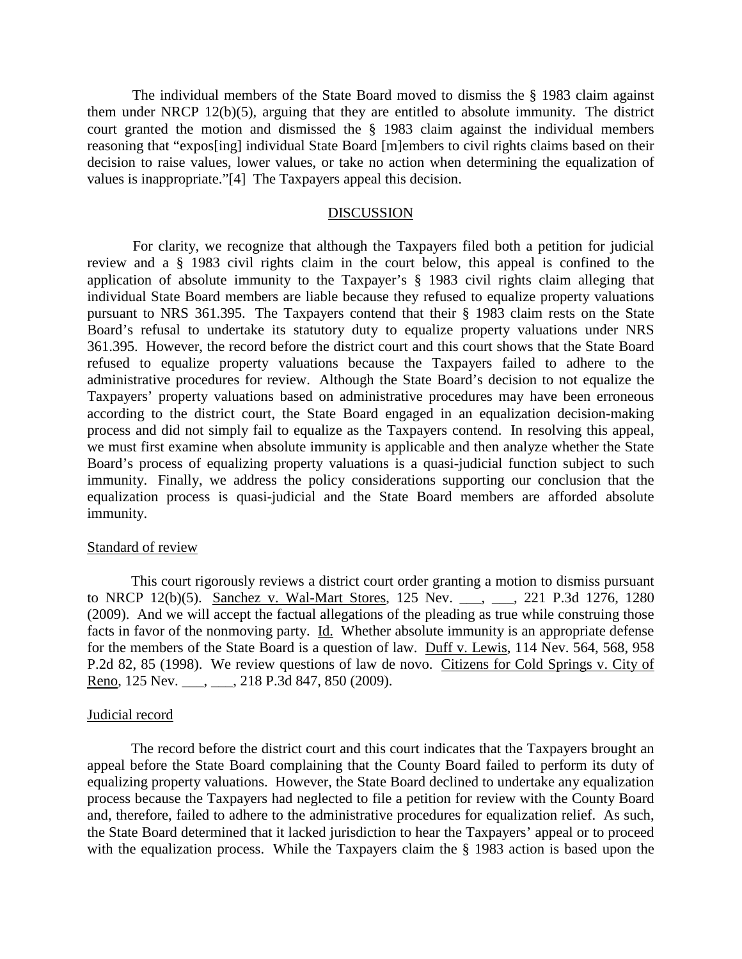The individual members of the State Board moved to dismiss the § 1983 claim against them under NRCP 12(b)(5), arguing that they are entitled to absolute immunity. The district court granted the motion and dismissed the § 1983 claim against the individual members reasoning that "expos[ing] individual State Board [m]embers to civil rights claims based on their decision to raise values, lower values, or take no action when determining the equalization of values is inappropriate."[4] The Taxpayers appeal this decision.

## DISCUSSION

 For clarity, we recognize that although the Taxpayers filed both a petition for judicial review and a § 1983 civil rights claim in the court below, this appeal is confined to the application of absolute immunity to the Taxpayer's § 1983 civil rights claim alleging that individual State Board members are liable because they refused to equalize property valuations pursuant to NRS 361.395. The Taxpayers contend that their § 1983 claim rests on the State Board's refusal to undertake its statutory duty to equalize property valuations under NRS 361.395. However, the record before the district court and this court shows that the State Board refused to equalize property valuations because the Taxpayers failed to adhere to the administrative procedures for review. Although the State Board's decision to not equalize the Taxpayers' property valuations based on administrative procedures may have been erroneous according to the district court, the State Board engaged in an equalization decision-making process and did not simply fail to equalize as the Taxpayers contend. In resolving this appeal, we must first examine when absolute immunity is applicable and then analyze whether the State Board's process of equalizing property valuations is a quasi-judicial function subject to such immunity. Finally, we address the policy considerations supporting our conclusion that the equalization process is quasi-judicial and the State Board members are afforded absolute immunity.

## Standard of review

 This court rigorously reviews a district court order granting a motion to dismiss pursuant to NRCP 12(b)(5). Sanchez v. Wal-Mart Stores, 125 Nev. \_\_\_, \_\_\_, 221 P.3d 1276, 1280 (2009). And we will accept the factual allegations of the pleading as true while construing those facts in favor of the nonmoving party. Id. Whether absolute immunity is an appropriate defense for the members of the State Board is a question of law. Duff v. Lewis, 114 Nev. 564, 568, 958 P.2d 82, 85 (1998). We review questions of law de novo. Citizens for Cold Springs v. City of Reno, 125 Nev. \_\_\_, \_\_\_, 218 P.3d 847, 850 (2009).

## Judicial record

 The record before the district court and this court indicates that the Taxpayers brought an appeal before the State Board complaining that the County Board failed to perform its duty of equalizing property valuations. However, the State Board declined to undertake any equalization process because the Taxpayers had neglected to file a petition for review with the County Board and, therefore, failed to adhere to the administrative procedures for equalization relief. As such, the State Board determined that it lacked jurisdiction to hear the Taxpayers' appeal or to proceed with the equalization process. While the Taxpayers claim the § 1983 action is based upon the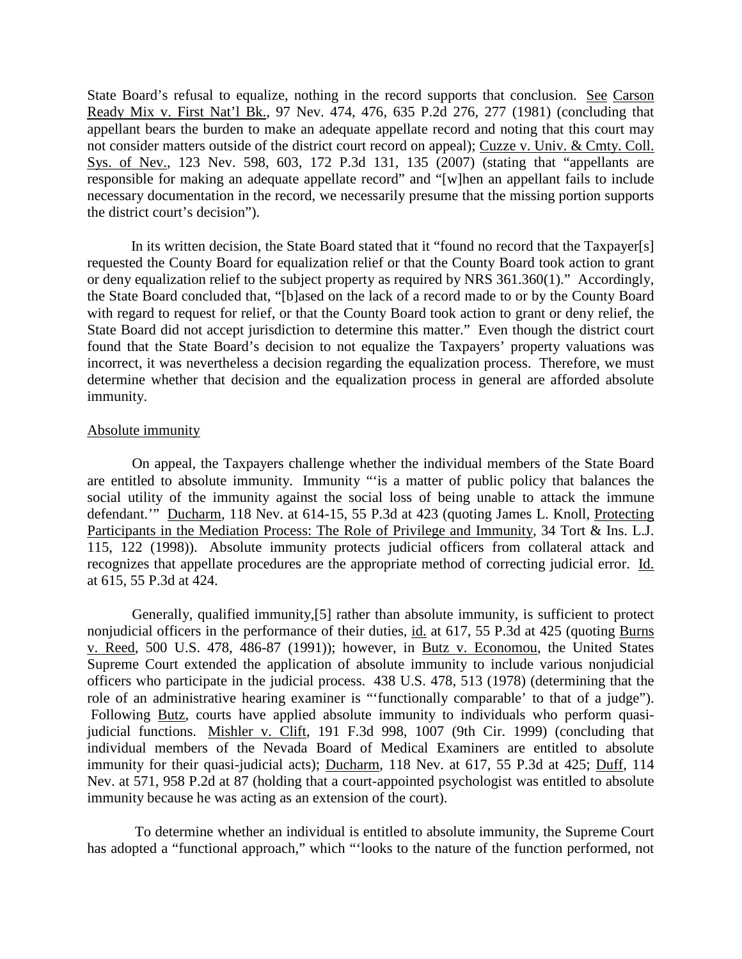State Board's refusal to equalize, nothing in the record supports that conclusion. See Carson Ready Mix v. First Nat'l Bk., 97 Nev. 474, 476, 635 P.2d 276, 277 (1981) (concluding that appellant bears the burden to make an adequate appellate record and noting that this court may not consider matters outside of the district court record on appeal); Cuzze v. Univ. & Cmty. Coll. Sys. of Nev., 123 Nev. 598, 603, 172 P.3d 131, 135 (2007) (stating that "appellants are responsible for making an adequate appellate record" and "[w]hen an appellant fails to include necessary documentation in the record, we necessarily presume that the missing portion supports the district court's decision").

 In its written decision, the State Board stated that it "found no record that the Taxpayer[s] requested the County Board for equalization relief or that the County Board took action to grant or deny equalization relief to the subject property as required by NRS 361.360(1)." Accordingly, the State Board concluded that, "[b]ased on the lack of a record made to or by the County Board with regard to request for relief, or that the County Board took action to grant or deny relief, the State Board did not accept jurisdiction to determine this matter." Even though the district court found that the State Board's decision to not equalize the Taxpayers' property valuations was incorrect, it was nevertheless a decision regarding the equalization process. Therefore, we must determine whether that decision and the equalization process in general are afforded absolute immunity.

## Absolute immunity

 On appeal, the Taxpayers challenge whether the individual members of the State Board are entitled to absolute immunity. Immunity "'is a matter of public policy that balances the social utility of the immunity against the social loss of being unable to attack the immune defendant.'" Ducharm, 118 Nev. at 614-15, 55 P.3d at 423 (quoting James L. Knoll, Protecting Participants in the Mediation Process: The Role of Privilege and Immunity, 34 Tort & Ins. L.J. 115, 122 (1998)). Absolute immunity protects judicial officers from collateral attack and recognizes that appellate procedures are the appropriate method of correcting judicial error. Id. at 615, 55 P.3d at 424.

 Generally, qualified immunity,[5] rather than absolute immunity, is sufficient to protect nonjudicial officers in the performance of their duties, id. at 617, 55 P.3d at 425 (quoting Burns v. Reed, 500 U.S. 478, 486-87 (1991)); however, in Butz v. Economou, the United States Supreme Court extended the application of absolute immunity to include various nonjudicial officers who participate in the judicial process. 438 U.S. 478, 513 (1978) (determining that the role of an administrative hearing examiner is "'functionally comparable' to that of a judge"). Following Butz, courts have applied absolute immunity to individuals who perform quasijudicial functions. Mishler v. Clift, 191 F.3d 998, 1007 (9th Cir. 1999) (concluding that individual members of the Nevada Board of Medical Examiners are entitled to absolute immunity for their quasi-judicial acts); Ducharm, 118 Nev. at 617, 55 P.3d at 425; Duff, 114 Nev. at 571, 958 P.2d at 87 (holding that a court-appointed psychologist was entitled to absolute immunity because he was acting as an extension of the court).

 To determine whether an individual is entitled to absolute immunity, the Supreme Court has adopted a "functional approach," which "'looks to the nature of the function performed, not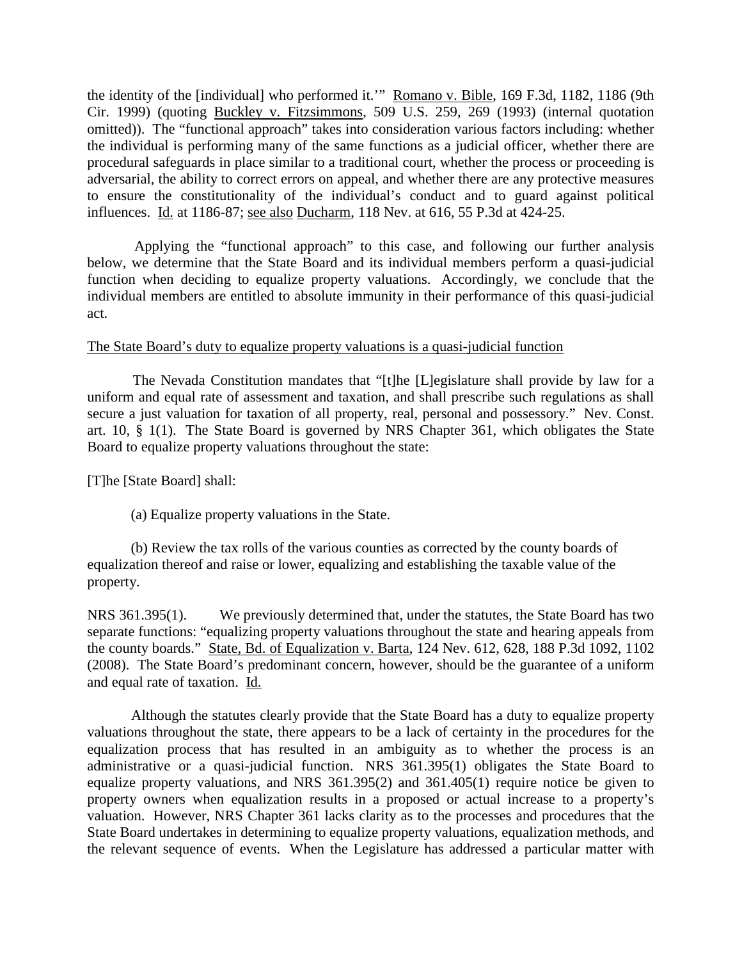the identity of the [individual] who performed it.'" Romano v. Bible, 169 F.3d, 1182, 1186 (9th Cir. 1999) (quoting Buckley v. Fitzsimmons, 509 U.S. 259, 269 (1993) (internal quotation omitted)). The "functional approach" takes into consideration various factors including: whether the individual is performing many of the same functions as a judicial officer, whether there are procedural safeguards in place similar to a traditional court, whether the process or proceeding is adversarial, the ability to correct errors on appeal, and whether there are any protective measures to ensure the constitutionality of the individual's conduct and to guard against political influences. Id. at 1186-87; see also Ducharm, 118 Nev. at 616, 55 P.3d at 424-25.

 Applying the "functional approach" to this case, and following our further analysis below, we determine that the State Board and its individual members perform a quasi-judicial function when deciding to equalize property valuations. Accordingly, we conclude that the individual members are entitled to absolute immunity in their performance of this quasi-judicial act.

## The State Board's duty to equalize property valuations is a quasi-judicial function

 The Nevada Constitution mandates that "[t]he [L]egislature shall provide by law for a uniform and equal rate of assessment and taxation, and shall prescribe such regulations as shall secure a just valuation for taxation of all property, real, personal and possessory." Nev. Const. art. 10, § 1(1). The State Board is governed by NRS Chapter 361, which obligates the State Board to equalize property valuations throughout the state:

[T]he [State Board] shall:

(a) Equalize property valuations in the State.

 (b) Review the tax rolls of the various counties as corrected by the county boards of equalization thereof and raise or lower, equalizing and establishing the taxable value of the property.

NRS 361.395(1). We previously determined that, under the statutes, the State Board has two separate functions: "equalizing property valuations throughout the state and hearing appeals from the county boards." State, Bd. of Equalization v. Barta, 124 Nev. 612, 628, 188 P.3d 1092, 1102 (2008). The State Board's predominant concern, however, should be the guarantee of a uniform and equal rate of taxation. Id.

 Although the statutes clearly provide that the State Board has a duty to equalize property valuations throughout the state, there appears to be a lack of certainty in the procedures for the equalization process that has resulted in an ambiguity as to whether the process is an administrative or a quasi-judicial function. NRS 361.395(1) obligates the State Board to equalize property valuations, and NRS 361.395(2) and 361.405(1) require notice be given to property owners when equalization results in a proposed or actual increase to a property's valuation. However, NRS Chapter 361 lacks clarity as to the processes and procedures that the State Board undertakes in determining to equalize property valuations, equalization methods, and the relevant sequence of events. When the Legislature has addressed a particular matter with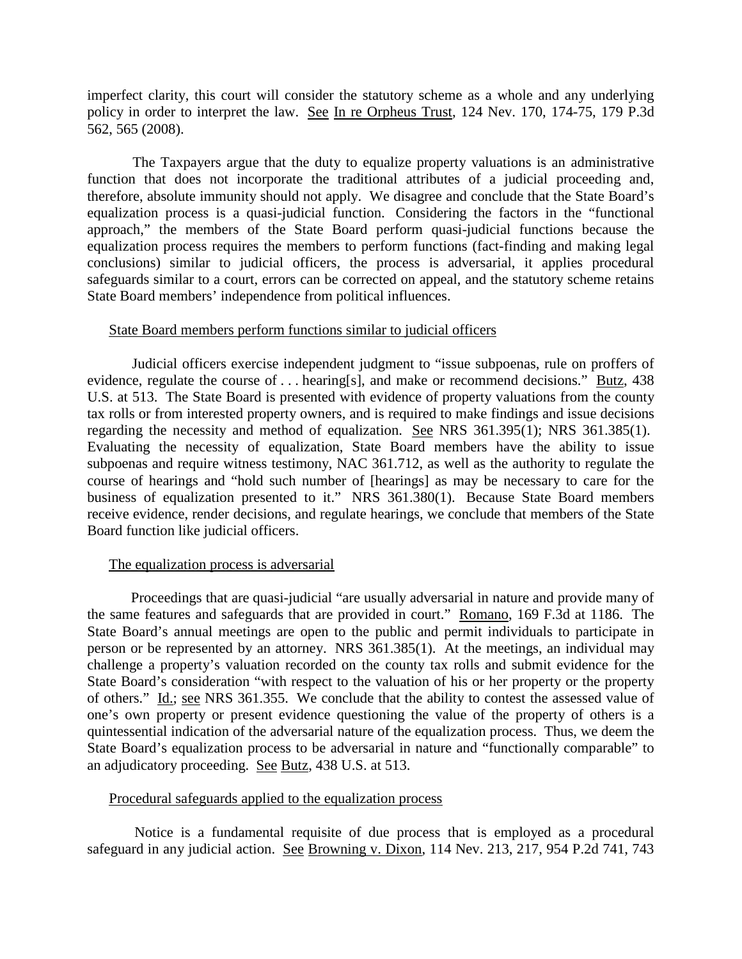imperfect clarity, this court will consider the statutory scheme as a whole and any underlying policy in order to interpret the law. See In re Orpheus Trust, 124 Nev. 170, 174-75, 179 P.3d 562, 565 (2008).

 The Taxpayers argue that the duty to equalize property valuations is an administrative function that does not incorporate the traditional attributes of a judicial proceeding and, therefore, absolute immunity should not apply. We disagree and conclude that the State Board's equalization process is a quasi-judicial function. Considering the factors in the "functional approach," the members of the State Board perform quasi-judicial functions because the equalization process requires the members to perform functions (fact-finding and making legal conclusions) similar to judicial officers, the process is adversarial, it applies procedural safeguards similar to a court, errors can be corrected on appeal, and the statutory scheme retains State Board members' independence from political influences.

## State Board members perform functions similar to judicial officers

 Judicial officers exercise independent judgment to "issue subpoenas, rule on proffers of evidence, regulate the course of . . . hearing[s], and make or recommend decisions." Butz, 438 U.S. at 513. The State Board is presented with evidence of property valuations from the county tax rolls or from interested property owners, and is required to make findings and issue decisions regarding the necessity and method of equalization. See NRS 361.395(1); NRS 361.385(1). Evaluating the necessity of equalization, State Board members have the ability to issue subpoenas and require witness testimony, NAC 361.712, as well as the authority to regulate the course of hearings and "hold such number of [hearings] as may be necessary to care for the business of equalization presented to it." NRS 361.380(1). Because State Board members receive evidence, render decisions, and regulate hearings, we conclude that members of the State Board function like judicial officers.

## The equalization process is adversarial

 Proceedings that are quasi-judicial "are usually adversarial in nature and provide many of the same features and safeguards that are provided in court." Romano, 169 F.3d at 1186. The State Board's annual meetings are open to the public and permit individuals to participate in person or be represented by an attorney. NRS 361.385(1). At the meetings, an individual may challenge a property's valuation recorded on the county tax rolls and submit evidence for the State Board's consideration "with respect to the valuation of his or her property or the property of others." Id.; see NRS 361.355. We conclude that the ability to contest the assessed value of one's own property or present evidence questioning the value of the property of others is a quintessential indication of the adversarial nature of the equalization process. Thus, we deem the State Board's equalization process to be adversarial in nature and "functionally comparable" to an adjudicatory proceeding. See Butz, 438 U.S. at 513.

## Procedural safeguards applied to the equalization process

 Notice is a fundamental requisite of due process that is employed as a procedural safeguard in any judicial action. See Browning v. Dixon, 114 Nev. 213, 217, 954 P.2d 741, 743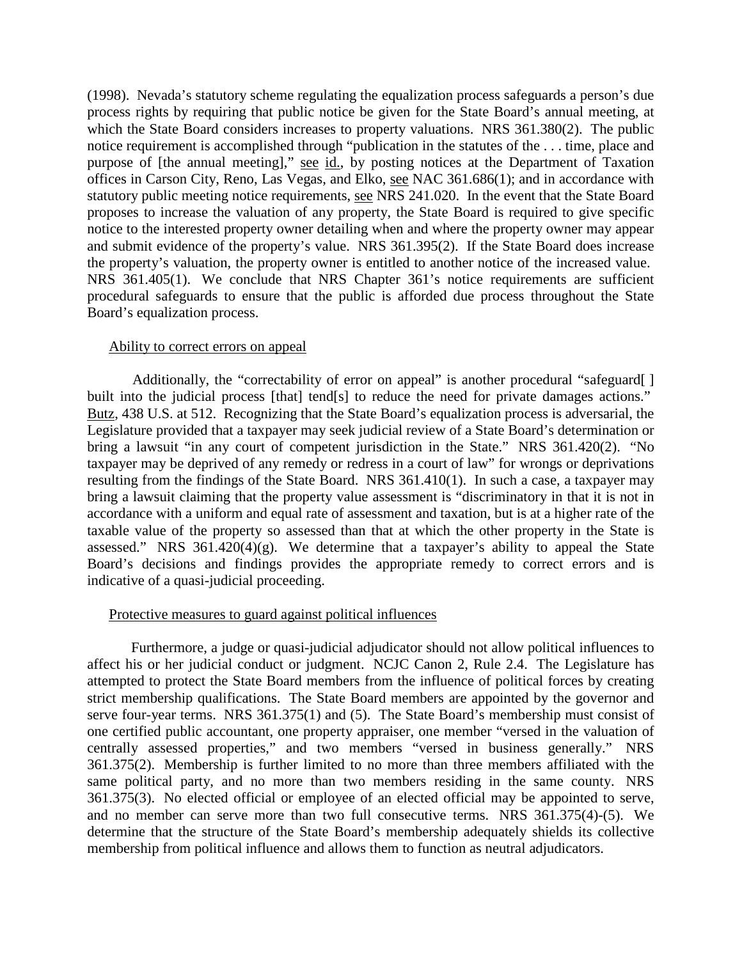(1998). Nevada's statutory scheme regulating the equalization process safeguards a person's due process rights by requiring that public notice be given for the State Board's annual meeting, at which the State Board considers increases to property valuations. NRS 361.380(2). The public notice requirement is accomplished through "publication in the statutes of the . . . time, place and purpose of [the annual meeting]," see id., by posting notices at the Department of Taxation offices in Carson City, Reno, Las Vegas, and Elko, see NAC 361.686(1); and in accordance with statutory public meeting notice requirements, see NRS 241.020. In the event that the State Board proposes to increase the valuation of any property, the State Board is required to give specific notice to the interested property owner detailing when and where the property owner may appear and submit evidence of the property's value. NRS 361.395(2). If the State Board does increase the property's valuation, the property owner is entitled to another notice of the increased value. NRS 361.405(1). We conclude that NRS Chapter 361's notice requirements are sufficient procedural safeguards to ensure that the public is afforded due process throughout the State Board's equalization process.

#### Ability to correct errors on appeal

Additionally, the "correctability of error on appeal" is another procedural "safeguard[] built into the judicial process [that] tend[s] to reduce the need for private damages actions." Butz, 438 U.S. at 512. Recognizing that the State Board's equalization process is adversarial, the Legislature provided that a taxpayer may seek judicial review of a State Board's determination or bring a lawsuit "in any court of competent jurisdiction in the State." NRS 361.420(2). "No taxpayer may be deprived of any remedy or redress in a court of law" for wrongs or deprivations resulting from the findings of the State Board. NRS 361.410(1). In such a case, a taxpayer may bring a lawsuit claiming that the property value assessment is "discriminatory in that it is not in accordance with a uniform and equal rate of assessment and taxation, but is at a higher rate of the taxable value of the property so assessed than that at which the other property in the State is assessed." NRS  $361.420(4)(g)$ . We determine that a taxpayer's ability to appeal the State Board's decisions and findings provides the appropriate remedy to correct errors and is indicative of a quasi-judicial proceeding.

#### Protective measures to guard against political influences

 Furthermore, a judge or quasi-judicial adjudicator should not allow political influences to affect his or her judicial conduct or judgment. NCJC Canon 2, Rule 2.4. The Legislature has attempted to protect the State Board members from the influence of political forces by creating strict membership qualifications. The State Board members are appointed by the governor and serve four-year terms. NRS 361.375(1) and (5). The State Board's membership must consist of one certified public accountant, one property appraiser, one member "versed in the valuation of centrally assessed properties," and two members "versed in business generally." NRS 361.375(2). Membership is further limited to no more than three members affiliated with the same political party, and no more than two members residing in the same county. NRS 361.375(3). No elected official or employee of an elected official may be appointed to serve, and no member can serve more than two full consecutive terms. NRS 361.375(4)-(5). We determine that the structure of the State Board's membership adequately shields its collective membership from political influence and allows them to function as neutral adjudicators.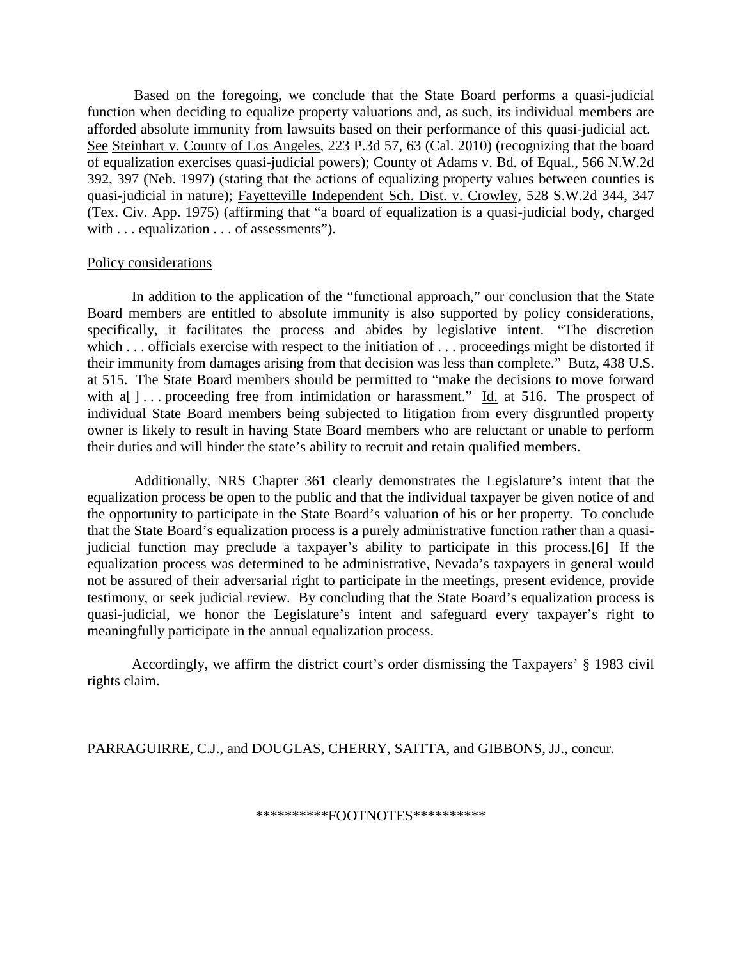Based on the foregoing, we conclude that the State Board performs a quasi-judicial function when deciding to equalize property valuations and, as such, its individual members are afforded absolute immunity from lawsuits based on their performance of this quasi-judicial act. See Steinhart v. County of Los Angeles, 223 P.3d 57, 63 (Cal. 2010) (recognizing that the board of equalization exercises quasi-judicial powers); County of Adams v. Bd. of Equal., 566 N.W.2d 392, 397 (Neb. 1997) (stating that the actions of equalizing property values between counties is quasi-judicial in nature); Fayetteville Independent Sch. Dist. v. Crowley, 528 S.W.2d 344, 347 (Tex. Civ. App. 1975) (affirming that "a board of equalization is a quasi-judicial body, charged with . . . equalization . . . of assessments").

## Policy considerations

 In addition to the application of the "functional approach," our conclusion that the State Board members are entitled to absolute immunity is also supported by policy considerations, specifically, it facilitates the process and abides by legislative intent. "The discretion which . . . officials exercise with respect to the initiation of . . . proceedings might be distorted if their immunity from damages arising from that decision was less than complete." Butz, 438 U.S. at 515. The State Board members should be permitted to "make the decisions to move forward with a[  $\vert$ ... proceeding free from intimidation or harassment." Id. at 516. The prospect of individual State Board members being subjected to litigation from every disgruntled property owner is likely to result in having State Board members who are reluctant or unable to perform their duties and will hinder the state's ability to recruit and retain qualified members.

 Additionally, NRS Chapter 361 clearly demonstrates the Legislature's intent that the equalization process be open to the public and that the individual taxpayer be given notice of and the opportunity to participate in the State Board's valuation of his or her property. To conclude that the State Board's equalization process is a purely administrative function rather than a quasijudicial function may preclude a taxpayer's ability to participate in this process.[6] If the equalization process was determined to be administrative, Nevada's taxpayers in general would not be assured of their adversarial right to participate in the meetings, present evidence, provide testimony, or seek judicial review. By concluding that the State Board's equalization process is quasi-judicial, we honor the Legislature's intent and safeguard every taxpayer's right to meaningfully participate in the annual equalization process.

 Accordingly, we affirm the district court's order dismissing the Taxpayers' § 1983 civil rights claim.

PARRAGUIRRE, C.J., and DOUGLAS, CHERRY, SAITTA, and GIBBONS, JJ., concur.

\*\*\*\*\*\*\*\*\*\*FOOTNOTES\*\*\*\*\*\*\*\*\*\*